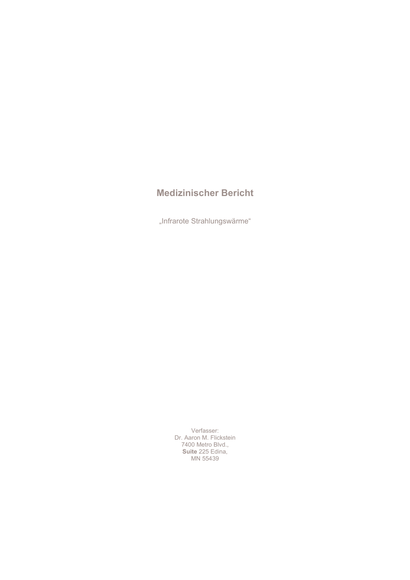# **Medizinischer Bericht**

"Infrarote Strahlungswärme"

Verfasser:<br>Dr. Aaron M. Flickstein<br>7400 Metro Blvd.,<br>**Suite** 225 Edina, MN 55439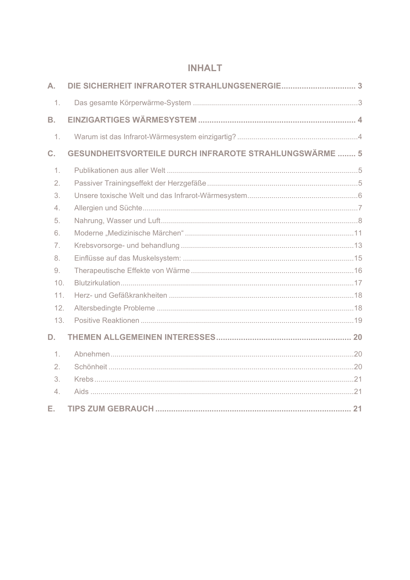# **INHALT**

| A.        |                                                               |  |
|-----------|---------------------------------------------------------------|--|
| 1.        |                                                               |  |
| <b>B.</b> |                                                               |  |
| 1.        |                                                               |  |
| C.        | <b>GESUNDHEITSVORTEILE DURCH INFRAROTE STRAHLUNGSWÄRME  5</b> |  |
| 1.        |                                                               |  |
| 2.        |                                                               |  |
| 3.        |                                                               |  |
| 4.        |                                                               |  |
| 5.        |                                                               |  |
| 6.        |                                                               |  |
| 7.        |                                                               |  |
| 8.        |                                                               |  |
| 9.        |                                                               |  |
| 10.       |                                                               |  |
| 11.       |                                                               |  |
| 12.       |                                                               |  |
| 13.       |                                                               |  |
| D.        |                                                               |  |
| 1.        |                                                               |  |
| 2.        |                                                               |  |
| 3.        |                                                               |  |
| 4.        |                                                               |  |
| Е.        |                                                               |  |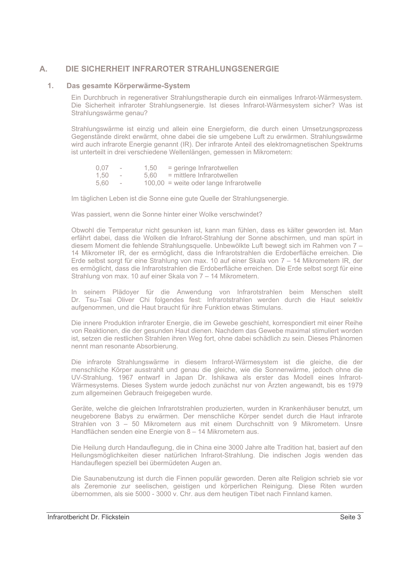### DIE SICHERHEIT INFRAROTER STRAHLUNGSENERGIE А.

### $1.$ Das gesamte Körperwärme-System

Ein Durchbruch in regenerativer Strahlungstherapie durch ein einmaliges Infrarot-Wärmesystem. Die Sicherheit infraroter Strahlungsenergie. Ist dieses Infrarot-Wärmesystem sicher? Was ist Strahlungswärme genau?

Strahlungswärme ist einzig und allein eine Energieform, die durch einen Umsetzungsprozess Gegenstände direkt erwärmt, ohne dabei die sie umgebene Luft zu erwärmen. Strahlungswärme wird auch infrarote Energie genannt (IR). Der infrarote Anteil des elektromagnetischen Spektrums ist unterteilt in drei verschiedene Wellenlängen, gemessen in Mikrometern:

| 0.07 | $\overline{\phantom{a}}$ | 1.50 | $=$ geringe Infrarotwellen                |
|------|--------------------------|------|-------------------------------------------|
| 1.50 | $\overline{\phantom{a}}$ | 5.60 | = mittlere Infrarotwellen                 |
| 5.60 |                          |      | $100.00 =$ weite oder lange Infrarotwelle |

Im täglichen Leben ist die Sonne eine gute Quelle der Strahlungsenergie.

Was passiert, wenn die Sonne hinter einer Wolke verschwindet?

Obwohl die Temperatur nicht gesunken ist, kann man fühlen, dass es kälter geworden ist. Man erfährt dabei, dass die Wolken die Infrarot-Strahlung der Sonne abschirmen, und man spürt in diesem Moment die fehlende Strahlungsquelle. Unbewölkte Luft bewegt sich im Rahmen von 7-14 Mikrometer IR, der es ermöglicht, dass die Infrarotstrahlen die Erdoberfläche erreichen. Die Erde selbst sorgt für eine Strahlung von max. 10 auf einer Skala von 7 – 14 Mikrometern IR, der es ermöglicht, dass die Infrarotstrahlen die Erdoberfläche erreichen. Die Erde selbst sorgt für eine Strahlung von max. 10 auf einer Skala von 7 – 14 Mikrometern.

In seinem Plädover für die Anwendung von Infrarotstrahlen beim Menschen stellt Dr. Tsu-Tsai Oliver Chi folgendes fest: Infrarotstrahlen werden durch die Haut selektiv aufgenommen, und die Haut braucht für ihre Funktion etwas Stimulans.

Die innere Produktion infraroter Energie, die im Gewebe geschieht, korrespondiert mit einer Reihe von Reaktionen, die der gesunden Haut dienen. Nachdem das Gewebe maximal stimuliert worden ist, setzen die restlichen Strahlen ihren Weg fort, ohne dabei schädlich zu sein. Dieses Phänomen nennt man resonante Absorbierung.

Die infrarote Strahlungswärme in diesem Infrarot-Wärmesystem ist die gleiche, die der menschliche Körper ausstrahlt und genau die gleiche, wie die Sonnenwärme, jedoch ohne die UV-Strahlung. 1967 entwarf in Japan Dr. Ishikawa als erster das Modell eines Infrarot-Wärmesystems. Dieses System wurde jedoch zunächst nur von Ärzten angewandt, bis es 1979 zum allgemeinen Gebrauch freigegeben wurde.

Geräte, welche die gleichen Infrarotstrahlen produzierten, wurden in Krankenhäuser benutzt, um neugeborene Babys zu erwärmen. Der menschliche Körper sendet durch die Haut infrarote Strahlen von 3 - 50 Mikrometern aus mit einem Durchschnitt von 9 Mikrometern. Unsre Handflächen senden eine Energie von 8 - 14 Mikrometern aus.

Die Heilung durch Handauflegung, die in China eine 3000 Jahre alte Tradition hat, basiert auf den Heilungsmöglichkeiten dieser natürlichen Infrarot-Strahlung. Die indischen Jogis wenden das Handauflegen speziell bei übermüdeten Augen an.

Die Saunabenutzung ist durch die Finnen populär geworden. Deren alte Religion schrieb sie vor als Zeremonie zur seelischen, geistigen und körperlichen Reinigung. Diese Riten wurden übernommen, als sie 5000 - 3000 v. Chr. aus dem heutigen Tibet nach Finnland kamen.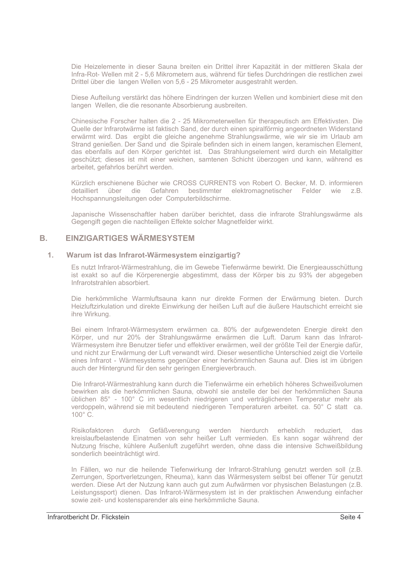Die Heizelemente in dieser Sauna breiten ein Drittel ihrer Kapazität in der mittleren Skala der Infra-Rot- Wellen mit 2 - 5.6 Mikrometern aus, während für tiefes Durchdringen die restlichen zwei Drittel über die langen Wellen von 5,6 - 25 Mikrometer ausgestrahlt werden.

Diese Aufteilung verstärkt das höhere Eindringen der kurzen Wellen und kombiniert diese mit den langen Wellen, die die resonante Absorbierung ausbreiten.

Chinesische Forscher halten die 2 - 25 Mikrometerwellen für therapeutisch am Effektivsten. Die Quelle der Infrarotwärme ist faktisch Sand, der durch einen spiralförmig angeordneten Widerstand erwärmt wird. Das ergibt die gleiche angenehme Strahlungswärme, wie wir sie im Urlaub am Strand genießen. Der Sand und die Spirale befinden sich in einem langen, keramischen Element, das ebenfalls auf den Körper gerichtet ist. Das Strahlungselement wird durch ein Metallgitter geschützt; dieses ist mit einer weichen, samtenen Schicht überzogen und kann, während es arbeitet, gefahrlos berührt werden.

Kürzlich erschienene Bücher wie CROSS CURRENTS von Robert O. Becker, M. D. informieren detailliert über die Gefahren bestimmter elektromagnetischer Felder wie  $7B$ Hochspannungsleitungen oder Computerbildschirme.

Japanische Wissenschaftler haben darüber berichtet, dass die infrarote Strahlungswärme als Gegengift gegen die nachteiligen Effekte solcher Magnetfelder wirkt.

### **EINZIGARTIGES WÄRMESYSTEM B.**

### $\blacksquare$ Warum ist das Infrarot-Wärmesystem einzigartig?

Es nutzt Infrarot-Wärmestrahlung, die im Gewebe Tiefenwärme bewirkt. Die Energieausschüttung ist exakt so auf die Körperenergie abgestimmt, dass der Körper bis zu 93% der abgegeben Infrarotstrahlen absorbiert.

Die herkömmliche Warmluftsauna kann nur direkte Formen der Erwärmung bieten. Durch Heizluftzirkulation und direkte Einwirkung der heißen Luft auf die äußere Hautschicht erreicht sie ihre Wirkung.

Bei einem Infrarot-Wärmesystem erwärmen ca. 80% der aufgewendeten Energie direkt den Körper, und nur 20% der Strahlungswärme erwärmen die Luft. Darum kann das Infrarot-Wärmesystem ihre Benutzer tiefer und effektiver erwärmen, weil der größte Teil der Energie dafür, und nicht zur Erwärmung der Luft verwandt wird. Dieser wesentliche Unterschied zeigt die Vorteile eines Infrarot - Wärmesystems gegenüber einer herkömmlichen Sauna auf. Dies ist im übrigen auch der Hintergrund für den sehr geringen Energieverbrauch.

Die Infrarot-Wärmestrahlung kann durch die Tiefenwärme ein erheblich höheres Schweißvolumen bewirken als die herkömmlichen Sauna, obwohl sie anstelle der bei der herkömmlichen Sauna üblichen 85° - 100° C im wesentlich niedrigeren und verträglicheren Temperatur mehr als verdoppeln, während sie mit bedeutend niedrigeren Temperaturen arbeitet. ca. 50° C statt ca.  $100^\circ$   $C$ .

Risikofaktoren durch Gefäßverengung werden hierdurch erheblich reduziert, das kreislaufbelastende Einatmen von sehr heißer Luft vermieden. Es kann sogar während der Nutzung frische, kühlere Außenluft zugeführt werden, ohne dass die intensive Schweißbildung sonderlich beeinträchtigt wird.

In Fällen, wo nur die heilende Tiefenwirkung der Infrarot-Strahlung genutzt werden soll (z.B. Zerrungen, Sportverletzungen, Rheuma), kann das Wärmesystem selbst bei offener Tür genutzt werden. Diese Art der Nutzung kann auch gut zum Aufwärmen vor physischen Belastungen (z.B. Leistungssport) dienen. Das Infrarot-Wärmesystem ist in der praktischen Anwendung einfacher sowie zeit- und kostensparender als eine herkömmliche Sauna.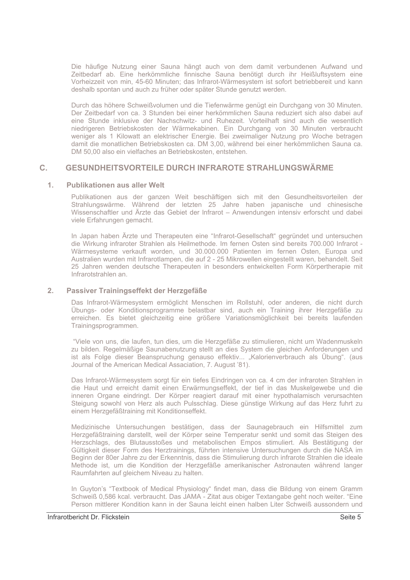Die häufige Nutzung einer Sauna hängt auch von dem damit verbundenen Aufwand und Zeitbedarf ab. Eine herkömmliche finnische Sauna benötigt durch ihr Heißluftsystem eine Vorheizzeit von min, 45-60 Minuten; das Infrarot-Wärmesystem ist sofort betriebbereit und kann deshalb spontan und auch zu früher oder später Stunde genutzt werden.

Durch das höhere Schweißvolumen und die Tiefenwärme genügt ein Durchgang von 30 Minuten. Der Zeitbedarf von ca. 3 Stunden bei einer herkömmlichen Sauna reduziert sich also dabei auf eine Stunde inklusive der Nachschwitz- und Ruhezeit. Vorteilhaft sind auch die wesentlich niedrigeren Betriebskosten der Wärmekabinen. Ein Durchgang von 30 Minuten verbraucht weniger als 1 Kilowatt an elektrischer Energie. Bei zweimaliger Nutzung pro Woche betragen damit die monatlichen Betriebskosten ca. DM 3,00, während bei einer herkömmlichen Sauna ca. DM 50,00 also ein vielfaches an Betriebskosten, entstehen.

### **GESUNDHEITSVORTEILE DURCH INFRAROTE STRAHLUNGSWÄRME**  $\mathbf{C}$ .

### $1.$ **Publikationen aus aller Welt**

Publikationen aus der ganzen Weit beschäftigen sich mit den Gesundheitsvorteilen der Strahlungswärme. Während der letzten 25 Jahre haben japanische und chinesische Wissenschaftler und Ärzte das Gebiet der Infrarot - Anwendungen intensiv erforscht und dabei viele Erfahrungen gemacht.

In Japan haben Ärzte und Therapeuten eine "Infrarot-Gesellschaft" gegründet und untersuchen die Wirkung infraroter Strahlen als Heilmethode. Im fernen Osten sind bereits 700.000 Infrarot -Wärmesysteme verkauft worden, und 30.000.000 Patienten im fernen Osten, Europa und Australien wurden mit Infrarotlampen, die auf 2 - 25 Mikrowellen eingestellt waren, behandelt. Seit 25 Jahren wenden deutsche Therapeuten in besonders entwickelten Form Körpertherapie mit Infrarotstrahlen an.

#### $2.$ Passiver Trainingseffekt der Herzgefäße

Das Infrarot-Wärmesystem ermöglicht Menschen im Rollstuhl, oder anderen, die nicht durch Übungs- oder Konditionsprogramme belastbar sind, auch ein Training ihrer Herzgefäße zu erreichen. Es bietet gleichzeitig eine größere Variationsmöglichkeit bei bereits laufenden Trainingsprogrammen.

"Viele von uns, die laufen, tun dies, um die Herzgefäße zu stimulieren, nicht um Wadenmuskeln zu bilden. Regelmäßige Saunabenutzung stellt an dies System die gleichen Anforderungen und ist als Folge dieser Beanspruchung genauso effektiv... "Kalorienverbrauch als Übung". (aus Journal of the American Medical Assaciation, 7. August '81).

Das Infrarot-Wärmesystem sorgt für ein tiefes Eindringen von ca. 4 cm der infraroten Strahlen in die Haut und erreicht damit einen Erwärmungseffekt, der tief in das Muskelgewebe und die inneren Organe eindringt. Der Körper reagiert darauf mit einer hypothalamisch verursachten Steigung sowohl von Herz als auch Pulsschlag. Diese günstige Wirkung auf das Herz fuhrt zu einem Herzgefäßtraining mit Konditionseffekt.

Medizinische Untersuchungen bestätigen, dass der Saunagebrauch ein Hilfsmittel zum Herzgefäßtraining darstellt, weil der Körper seine Temperatur senkt und somit das Steigen des Herzschlags, des Blutausstoßes und metabolischen Empos stimuliert. Als Bestätigung der Gültigkeit dieser Form des Herztrainings, führten intensive Untersuchungen durch die NASA im Beginn der 80er Jahre zu der Erkenntnis, dass die Stimulierung durch infrarote Strahlen die ideale Methode ist, um die Kondition der Herzgefäße amerikanischer Astronauten während langer Raumfahrten auf gleichem Niveau zu halten.

In Guyton's "Textbook of Medical Physiology" findet man, dass die Bildung von einem Gramm Schweiß 0,586 kcal. verbraucht. Das JAMA - Zitat aus obiger Textangabe geht noch weiter. "Eine Person mittlerer Kondition kann in der Sauna leicht einen halben Liter Schweiß aussondern und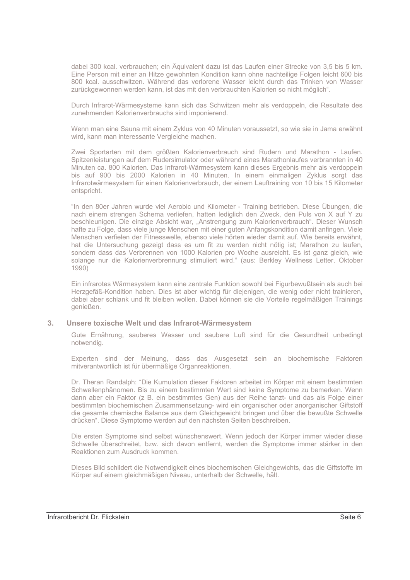dabei 300 kcal, verbrauchen: ein Äguivalent dazu ist das Laufen einer Strecke von 3.5 bis 5 km. Eine Person mit einer an Hitze gewohnten Kondition kann ohne nachteilige Folgen leicht 600 bis 800 kcal. ausschwitzen. Während das verlorene Wasser leicht durch das Trinken von Wasser zurückgewonnen werden kann, ist das mit den verbrauchten Kalorien so nicht möglich".

Durch Infrarot-Wärmesysteme kann sich das Schwitzen mehr als verdoppeln, die Resultate des zunehmenden Kalorienverbrauchs sind imponierend.

Wenn man eine Sauna mit einem Zyklus von 40 Minuten voraussetzt, so wie sie in Jama erwähnt wird, kann man interessante Vergleiche machen.

Zwei Sportarten mit dem größten Kalorienverbrauch sind Rudern und Marathon - Laufen. Spitzenleistungen auf dem Rudersimulator oder während eines Marathonlaufes verbrannten in 40 Minuten ca. 800 Kalorien. Das Infrarot-Wärmesystem kann dieses Ergebnis mehr als verdoppeln bis auf 900 bis 2000 Kalorien in 40 Minuten. In einem einmaligen Zyklus sorgt das Infrarotwärmesystem für einen Kalorienverbrauch, der einem Lauftraining von 10 bis 15 Kilometer entspricht.

"In den 80er Jahren wurde viel Aerobic und Kilometer - Training betrieben. Diese Übungen, die nach einem strengen Schema verliefen, hatten lediglich den Zweck, den Puls von X auf Y zu beschleunigen. Die einzige Absicht war, "Anstrengung zum Kalorienverbrauch". Dieser Wunsch hafte zu Folge, dass viele junge Menschen mit einer guten Anfangskondition damit anfingen. Viele Menschen verfielen der Fitnesswelle, ebenso viele hörten wieder damit auf. Wie bereits erwähnt, hat die Untersuchung gezeigt dass es um fit zu werden nicht nötig ist; Marathon zu laufen, sondern dass das Verbrennen von 1000 Kalorien pro Woche ausreicht. Es ist ganz gleich, wie solange nur die Kalorienverbrennung stimuliert wird." (aus: Berkley Wellness Letter, Oktober 1990)

Ein infrarotes Wärmesystem kann eine zentrale Funktion sowohl bei Figurbewußtsein als auch bei Herzgefäß-Kondition haben. Dies ist aber wichtig für diejenigen, die wenig oder nicht trainieren, dabei aber schlank und fit bleiben wollen. Dabei können sie die Vorteile regelmäßigen Trainings genießen.

### Unsere toxische Welt und das Infrarot-Wärmesystem  $3.$

Gute Ernährung, sauberes Wasser und saubere Luft sind für die Gesundheit unbedingt notwendig.

Experten sind der Meinung, dass das Ausgesetzt sein an biochemische Faktoren mitverantwortlich ist für übermäßige Organreaktionen.

Dr. Theran Randalph: "Die Kumulation dieser Faktoren arbeitet im Körper mit einem bestimmten Schwellenphänomen. Bis zu einem bestimmten Wert sind keine Symptome zu bemerken. Wenn dann aber ein Faktor (z B. ein bestimmtes Gen) aus der Reihe tanzt- und das als Folge einer bestimmten biochemischen Zusammensetzung- wird ein organischer oder anorganischer Giftstoff die gesamte chemische Balance aus dem Gleichgewicht bringen und über die bewußte Schwelle drücken". Diese Symptome werden auf den nächsten Seiten beschreiben.

Die ersten Symptome sind selbst wünschenswert. Wenn jedoch der Körper immer wieder diese Schwelle überschreitet, bzw. sich davon entfernt, werden die Symptome immer stärker in den Reaktionen zum Ausdruck kommen.

Dieses Bild schildert die Notwendigkeit eines biochemischen Gleichgewichts, das die Giftstoffe im Körper auf einem gleichmäßigen Niveau, unterhalb der Schwelle, hält.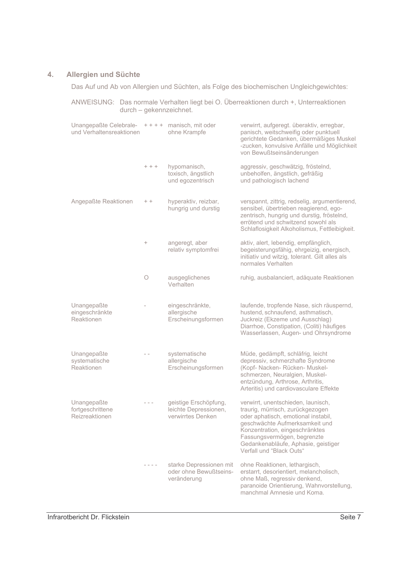### Allergien und Süchte  $\overline{4}$ .

Das Auf und Ab von Allergien und Süchten, als Folge des biochemischen Ungleichgewichtes:

| ANWEISUNG: Das normale Verhalten liegt bei O. Überreaktionen durch +, Unterreaktionen<br>durch - gekennzeichnet. |         |                                                                     |                                                                                                                                                                                                                                                                                     |
|------------------------------------------------------------------------------------------------------------------|---------|---------------------------------------------------------------------|-------------------------------------------------------------------------------------------------------------------------------------------------------------------------------------------------------------------------------------------------------------------------------------|
| Unangepaßte Celebrale-<br>und Verhaltensreaktionen                                                               |         | $++++$ manisch, mit oder<br>ohne Krampfe                            | verwirrt, aufgeregt. überaktiv, erregbar,<br>panisch, weitschweifig oder punktuell<br>gerichtete Gedanken, übermäßiges Muskel<br>-zucken, konvulsive Anfälle und Möglichkeit<br>von Bewußtseinsänderungen                                                                           |
|                                                                                                                  | $+ + +$ | hypomanisch,<br>toxisch, ängstlich<br>und egozentrisch              | aggressiv, geschwätzig, fröstelnd,<br>unbeholfen, ängstlich, gefräßig<br>und pathologisch lachend                                                                                                                                                                                   |
| Angepaßte Reaktionen                                                                                             | $+ +$   | hyperaktiv, reizbar,<br>hungrig und durstig                         | verspannt, zittrig, redselig, argumentierend,<br>sensibel, übertrieben reagierend, ego-<br>zentrisch, hungrig und durstig, fröstelnd,<br>errötend und schwitzend sowohl als<br>Schlaflosigkeit Alkoholismus, Fettleibigkeit.                                                        |
|                                                                                                                  | $^{+}$  | angeregt, aber<br>relativ symptomfrei                               | aktiv, alert, lebendig, empfänglich,<br>begeisterungsfähig, ehrgeizig, energisch,<br>initiativ und witzig, tolerant. Gilt alles als<br>normales Verhalten                                                                                                                           |
|                                                                                                                  | $\circ$ | ausgeglichenes<br>Verhalten                                         | ruhig, ausbalanciert, adäquate Reaktionen                                                                                                                                                                                                                                           |
| Unangepaßte<br>eingeschränkte<br>Reaktionen                                                                      |         | eingeschränkte,<br>allergische<br>Erscheinungsformen                | laufende, tropfende Nase, sich räuspernd,<br>hustend, schnaufend, asthmatisch,<br>Juckreiz (Ekzeme und Ausschlag)<br>Diarrhoe, Constipation, (Coliti) häufiges<br>Wasserlassen, Augen- und Ohrsyndrome                                                                              |
| Unangepaßte<br>systematische<br>Reaktionen                                                                       |         | systematische<br>allergische<br>Erscheinungsformen                  | Müde, gedämpft, schläfrig, leicht<br>depressiv, schmerzhafte Syndrome<br>(Kopf- Nacken- Rücken- Muskel-<br>schmerzen, Neuralgien, Muskel-<br>entzündung, Arthrose, Arthritis,<br>Arteritis) und cardiovasculare Effekte                                                             |
| Unangepaßte<br>fortgeschrittene<br>Reizreaktionen                                                                | $- - -$ | geistige Erschöpfung,<br>leichte Depressionen,<br>verwirrtes Denken | verwirrt, unentschieden, launisch,<br>traurig, mürrisch, zurückgezogen<br>oder aphatisch, emotional instabil,<br>geschwächte Aufmerksamkeit und<br>Konzentration, eingeschränktes<br>Fassungsvermögen, begrenzte<br>Gedankenabläufe, Aphasie, geistiger<br>Verfall und "Black Outs" |
|                                                                                                                  |         | starke Depressionen mit<br>oder ohne Bewußtseins-<br>veränderung    | ohne Reaktionen, lethargisch,<br>erstarrt, desorientiert, melancholisch,<br>ohne Maß, regressiv denkend,<br>paranoide Orientierung, Wahnvorstellung,<br>manchmal Amnesie und Koma.                                                                                                  |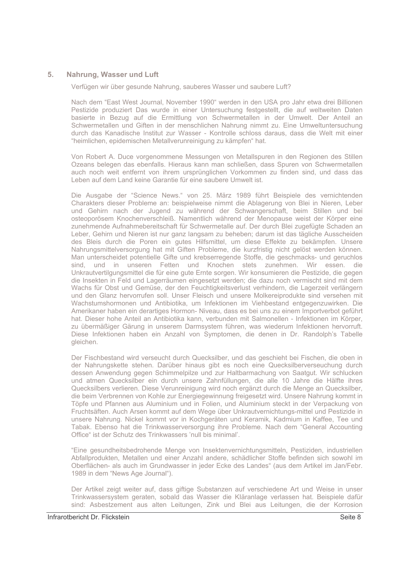### 5 Nahrung. Wasser und Luft

Verfügen wir über gesunde Nahrung, sauberes Wasser und saubere Luft?

Nach dem "East West Journal, November 1990" werden in den USA pro Jahr etwa drei Billionen Pestizide produziert Das wurde in einer Untersuchung festgestellt, die auf weltweiten Daten basierte in Bezug auf die Ermittlung von Schwermetallen in der Umwelt. Der Anteil an Schwermetallen und Giften in der menschlichen Nahrung nimmt zu. Eine Umweltuntersuchung durch das Kanadische Institut zur Wasser - Kontrolle schloss daraus, dass die Welt mit einer "heimlichen, epidemischen Metallverunreinigung zu kämpfen" hat.

Von Robert A. Duce vorgenommene Messungen von Metallspuren in den Regionen des Stillen Ozeans belegen das ebenfalls. Hieraus kann man schließen, dass Spuren von Schwermetallen auch noch weit entfernt von ihrem ursprünglichen Vorkommen zu finden sind, und dass das Leben auf dem Land keine Garantie für eine saubere Umwelt ist.

Die Ausgabe der "Science News." von 25. März 1989 führt Beispiele des vernichtenden Charakters dieser Probleme an: beispielweise nimmt die Ablagerung von Blei in Nieren, Leber und Gehirn nach der Jugend zu während der Schwangerschaft, beim Stillen und bei osteoporösem Knochenverschleiß. Namentlich während der Menopause weist der Körper eine zunehmende Aufnahmebereitschaft für Schwermetalle auf. Der durch Blei zugefügte Schaden an Leber, Gehirn und Nieren ist nur ganz langsam zu beheben; darum ist das tägliche Ausscheiden des Bleis durch die Poren ein gutes Hilfsmittel, um diese Effekte zu bekämpfen. Unsere Nahrungsmittelversorgung hat mit Giften Probleme, die kurzfristig nicht gelöst werden können. Man unterscheidet potentielle Gifte und krebserregende Stoffe, die geschmacks- und geruchlos sind, und in unseren Fetten und Knochen stets zunehmen. Wir essen, die Unkrautvertilgungsmittel die für eine gute Ernte sorgen. Wir konsumieren die Pestizide, die gegen die Insekten in Feld und Lagerräumen eingesetzt werden: die dazu noch vermischt sind mit dem Wachs für Obst und Gemüse, der den Feuchtigkeitsverlust verhindern, die Lagerzeit verlängern und den Glanz hervorrufen soll. Unser Fleisch und unsere Molkereiprodukte sind versehen mit Wachstumshormonen und Antibiotika, um Infektionen im Viehbestand entgegenzuwirken. Die Amerikaner haben ein derartiges Hormon-Niveau, dass es bei uns zu einem Importverbot geführt hat. Dieser hohe Anteil an Antibiotika kann, verbunden mit Salmonellen - Infektionen im Körper, zu übermäßiger Gärung in unserem Darmsystem führen, was wiederum Infektionen hervorruft. Diese Infektionen haben ein Anzahl von Symptomen, die denen in Dr. Randolph's Tabelle gleichen.

Der Fischbestand wird verseucht durch Quecksilber, und das geschieht bei Fischen, die oben in der Nahrungskette stehen. Darüber hinaus gibt es noch eine Quecksilberverseuchung durch dessen Anwendung gegen Schimmelpilze und zur Haltbarmachung von Saatgut. Wir schlucken und atmen Quecksilber ein durch unsere Zahnfüllungen, die alle 10 Jahre die Hälfte ihres Quecksilbers verlieren. Diese Verunreinigung wird noch ergänzt durch die Menge an Quecksilber, die beim Verbrennen von Kohle zur Energiegewinnung freigesetzt wird. Unsere Nahrung kommt in Töpfe und Pfannen aus Aluminium und in Folien, und Aluminium steckt in der Verpackung von Fruchtsäften. Auch Arsen kommt auf dem Wege über Unkrautvernichtungs-mittel und Pestizide in unsere Nahrung. Nickel kommt vor in Kochgeräten und Keramik. Kadmium in Kaffee. Tee und Tabak. Ebenso hat die Trinkwasserversorgung ihre Probleme. Nach dem "General Accounting Office" ist der Schutz des Trinkwassers 'null bis minimal'.

"Eine gesundheitsbedrohende Menge von Insektenvernichtungsmitteln, Pestiziden, industriellen Abfallprodukten. Metallen und einer Anzahl andere, schädlicher Stoffe befinden sich sowohl im Oberflächen- als auch im Grundwasser in jeder Ecke des Landes" (aus dem Artikel im Jan/Febr. 1989 in dem "News Age Journal").

Der Artikel zeigt weiter auf, dass giftige Substanzen auf verschiedene Art und Weise in unser Trinkwassersystem geraten, sobald das Wasser die Kläranlage verlassen hat. Beispiele dafür sind: Asbestzement aus alten Leitungen, Zink und Blei aus Leitungen, die der Korrosion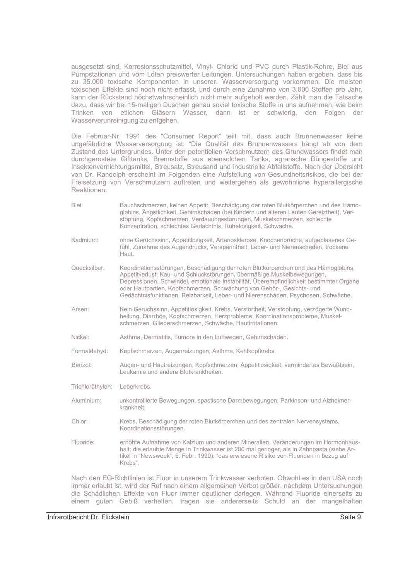ausgesetzt sind. Korrosionsschutzmittel. Vinyl- Chlorid und PVC durch Plastik-Rohre. Blei aus Pumpstationen und vom Löten preiswerter Leitungen. Untersuchungen haben ergeben, dass bis zu 35.000 toxische Komponenten in unserer. Wasserversorgung vorkommen. Die meisten toxischen Effekte sind noch nicht erfasst, und durch eine Zunahme von 3.000 Stoffen pro Jahr, kann der Rückstand höchstwahrscheinlich nicht mehr aufgeholt werden. Zählt man die Tatsache dazu, dass wir bei 15-maligen Duschen genau soviel toxische Stoffe in uns aufnehmen, wie beim Trinken von etlichen Gläsern Wasser, dann ist er schwierig, den Folgen der Wasserverunreinigung zu entgehen.

Die Februar-Nr. 1991 des "Consumer Report" teilt mit, dass auch Brunnenwasser keine ungefährliche Wasserversorgung ist: "Die Qualität des Brunnenwassers hängt ab von dem Zustand des Untergrundes. Unter den potentiellen Verschmutzern des Grundwassers findet man durchgerostete Gifttanks, Brennstoffe aus ebensolchen Tanks, agrarische Düngestoffe und Insektenvernichtungsmittel, Streusalz, Streusand und industrielle Abfallstoffe. Nach der Übersicht von Dr. Randolph erscheint im Folgenden eine Aufstellung von Gesundheitsrisikos, die bei der Freisetzung von Verschmutzern auftreten und weitergehen als gewöhnliche hyperallergische Reaktionen:

Rlei<sup>.</sup> Bauchschmerzen, keinen Appetit, Beschädigung der roten Blutkörperchen und des Hämoglobins, Ängstlichkeit, Gehirnschäden (bei Kindern und älteren Leuten Gereiztheit), Verstopfung, Kopfschmerzen, Verdauungsstörungen, Muskelschmerzen, schlechte Konzentration, schlechtes Gedächtnis, Ruhelosigkeit, Schwäche. ohne Geruchssinn, Appetitlosigkeit, Arteriosklerose, Knochenbrüche, aufgeblasenes Ge-Kadmium: fühl. Zunahme des Augendrucks. Verspanntheit. Leber- und Nierenschäden, trockene Haut. Quecksilber: Koordinationsstörungen, Beschädigung der roten Blutkörperchen und des Hämoglobins, Appetitverlust, Kau- und Schluckstörungen, übermäßige Muskelbewegungen, Depressionen, Schwindel, emotionale Instabilität, Überempfindlichkeit bestimmter Organe oder Hautpartien, Kopfschmerzen, Schwächung von Gehör-, Gesichts- und Gedächtnisfunktionen. Reizbarkeit. Leber- und Nierenschäden. Psychosen. Schwäche. Arsen<sup>-</sup> Kein Geruchssinn, Appetitlosigkeit, Krebs, Verstörtheit, Verstopfung, verzögerte Wundheilung, Diarrhöe, Kopfschmerzen, Herzprobleme, Koordinationsprobleme, Muskelschmerzen. Gliederschmerzen. Schwäche. Hautirritationen. Nickel<sup>-</sup> Asthma, Dermatitis, Tumore in den Luftwegen, Gehirnschäden. Formaldehyd: Kopfschmerzen, Augenreizungen, Asthma, Kehlkopfkrebs. Augen- und Hautreizungen, Kopfschmerzen, Appetitlosigkeit, vermindertes Bewußtsein, Benzol: Leukämie und andere Blutkrankheiten. Trichloräthylen: Leberkrebs. Aluminium: unkontrollierte Bewegungen, spastische Darmbewegungen, Parkinson- und Alzheimerkrankheit. Chlor: Krebs, Beschädigung der roten Blutkörperchen und des zentralen Nervensystems, Koordinationsstörungen. Fluoride: erhöhte Aufnahme von Kalzium und anderen Mineralien. Veränderungen im Hormonhaushalt; die erlaubte Menge in Trinkwasser ist 200 mal geringer, als in Zahnpasta (siehe Artikel in "Newsweek", 5. Febr. 1990): "das erwiesene Risiko von Fluoriden in bezug auf Krebs". Nach den EG-Richtlinien ist Fluor in unserem Trinkwasser verboten. Obwohl es in den USA noch immer erlaubt ist, wird der Ruf nach einem allgemeinen Verbot größer, nachdem Untersuchungen die Schädlichen Effekte von Fluor immer deutlicher darlegen. Während Fluoride einerseits zu einem guten Gebiß verhelfen, tragen sie andererseits Schuld an der mangelhaften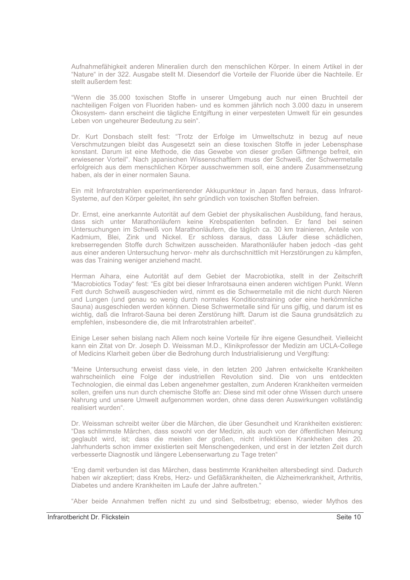Aufnahmefähigkeit anderen Mineralien durch den menschlichen Körper. In einem Artikel in der "Nature" in der 322. Ausgabe stellt M. Diesendorf die Vorteile der Fluoride über die Nachteile. Er stellt außerdem fest:

"Wenn die 35.000 toxischen Stoffe in unserer Umgebung auch nur einen Bruchteil der nachteiligen Folgen von Fluoriden haben- und es kommen jährlich noch 3.000 dazu in unserem Ökosystem- dann erscheint die tägliche Entgiftung in einer verpesteten Umwelt für ein gesundes Leben von ungeheurer Bedeutung zu sein".

Dr. Kurt Donsbach stellt fest: "Trotz der Erfolge im Umweltschutz in bezug auf neue Verschmutzungen bleibt das Ausgesetzt sein an diese toxischen Stoffe in jeder Lebensphase konstant. Darum ist eine Methode, die das Gewebe von dieser großen Giftmenge befreit, ein erwiesener Vorteil". Nach japanischen Wissenschaftlern muss der Schweiß, der Schwermetalle erfolgreich aus dem menschlichen Körper ausschwemmen soll, eine andere Zusammensetzung haben, als der in einer normalen Sauna.

Ein mit Infrarotstrahlen experimentierender Akkupunkteur in Japan fand heraus, dass Infrarot-Systeme, auf den Körper geleitet, ihn sehr gründlich von toxischen Stoffen befreien.

Dr. Ernst, eine anerkannte Autorität auf dem Gebiet der physikalischen Ausbildung, fand heraus, dass sich unter Marathonläufern keine Krebspatienten befinden. Er fand bei seinen Untersuchungen im Schweiß von Marathonläufern, die täglich ca. 30 km trainieren, Anteile von Kadmium, Blei, Zink und Nickel. Er schloss daraus, dass Läufer diese schädlichen, krebserregenden Stoffe durch Schwitzen ausscheiden. Marathonläufer haben jedoch -das geht aus einer anderen Untersuchung hervor- mehr als durchschnittlich mit Herzstörungen zu kämpfen, was das Training weniger anziehend macht.

Herman Aihara, eine Autorität auf dem Gebiet der Macrobiotika, stellt in der Zeitschrift "Macrobiotics Today" fest: "Es gibt bei dieser Infrarotsauna einen anderen wichtigen Punkt. Wenn Fett durch Schweiß ausgeschieden wird, nimmt es die Schwermetalle mit die nicht durch Nieren und Lungen (und genau so wenig durch normales Konditionstraining oder eine herkömmliche Sauna) ausgeschieden werden können. Diese Schwermetalle sind für uns giftig, und darum ist es wichtig, daß die Infrarot-Sauna bei deren Zerstörung hilft. Darum ist die Sauna grundsätzlich zu empfehlen, insbesondere die, die mit Infrarotstrahlen arbeitet".

Einige Leser sehen bislang nach Allem noch keine Vorteile für ihre eigene Gesundheit. Vielleicht kann ein Zitat von Dr. Joseph D. Weissman M.D., Klinikprofessor der Medizin am UCLA-College of Medicins Klarheit geben über die Bedrohung durch Industrialisierung und Vergiftung:

"Meine Untersuchung erweist dass viele, in den letzten 200 Jahren entwickelte Krankheiten wahrscheinlich eine Folge der industriellen Revolution sind. Die von uns entdeckten Technologien, die einmal das Leben angenehmer gestalten, zum Anderen Krankheiten vermeiden sollen, greifen uns nun durch chemische Stoffe an: Diese sind mit oder ohne Wissen durch unsere Nahrung und unsere Umwelt aufgenommen worden, ohne dass deren Auswirkungen vollständig realisiert wurden".

Dr. Weissman schreibt weiter über die Märchen, die über Gesundheit und Krankheiten existieren: "Das schlimmste Märchen, dass sowohl von der Medizin, als auch von der öffentlichen Meinung geglaubt wird, ist; dass die meisten der großen, nicht infektiösen Krankheiten des 20. Jahrhunderts schon immer existierten seit Menschengedenken, und erst in der letzten Zeit durch verbesserte Diagnostik und längere Lebenserwartung zu Tage treten"

"Eng damit verbunden ist das Märchen, dass bestimmte Krankheiten altersbedingt sind. Dadurch haben wir akzeptiert; dass Krebs, Herz- und Gefäßkrankheiten, die Alzheimerkrankheit, Arthritis, Diabetes und andere Krankheiten im Laufe der Jahre auftreten."

"Aber beide Annahmen treffen nicht zu und sind Selbstbetrug; ebenso, wieder Mythos des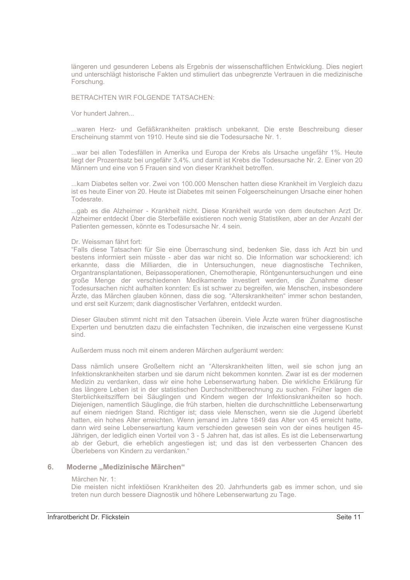längeren und gesunderen Lebens als Ergebnis der wissenschaftlichen Entwicklung. Dies negiert und unterschlägt historische Fakten und stimuliert das unbegrenzte Vertrauen in die medizinische Forschung.

## BETRACHTEN WIR FOLGENDE TATSACHEN:

Vor hundert Jahren...

...waren Herz- und Gefäßkrankheiten praktisch unbekannt. Die erste Beschreibung dieser Erscheinung stammt von 1910. Heute sind sie die Todesursache Nr. 1.

...war bei allen Todesfällen in Amerika und Europa der Krebs als Ursache ungefähr 1%. Heute liegt der Prozentsatz bei ungefähr 3,4%, und damit ist Krebs die Todesursache Nr. 2. Einer von 20 Männern und eine von 5 Frauen sind von dieser Krankheit betroffen.

...kam Diabetes selten vor. Zwei von 100.000 Menschen hatten diese Krankheit im Vergleich dazu ist es heute Einer von 20. Heute ist Diabetes mit seinen Folgeerscheinungen Ursache einer hohen Todesrate.

...gab es die Alzheimer - Krankheit nicht. Diese Krankheit wurde von dem deutschen Arzt Dr. Alzheimer entdeckt Über die Sterbefälle existieren noch wenig Statistiken, aber an der Anzahl der Patienten gemessen, könnte es Todesursache Nr. 4 sein.

### Dr. Weissman fährt fort:

"Falls diese Tatsachen für Sie eine Überraschung sind, bedenken Sie, dass ich Arzt bin und bestens informiert sein müsste - aber das war nicht so. Die Information war schockierend: ich erkannte, dass die Milliarden, die in Untersuchungen, neue diagnostische Techniken, Organtransplantationen, Beipassoperationen, Chemotherapie, Röntgenuntersuchungen und eine große Menge der verschiedenen Medikamente investiert werden, die Zunahme dieser Todesursachen nicht aufhalten konnten: Es ist schwer zu begreifen, wie Menschen, insbesondere Ärzte, das Märchen glauben können, dass die sog. "Alterskrankheiten" immer schon bestanden, und erst seit Kurzem; dank diagnostischer Verfahren, entdeckt wurden.

Dieser Glauben stimmt nicht mit den Tatsachen überein. Viele Ärzte waren früher diagnostische Experten und benutzten dazu die einfachsten Techniken, die inzwischen eine vergessene Kunst sind.

Außerdem muss noch mit einem anderen Märchen aufgeräumt werden:

Dass nämlich unsere Großeltern nicht an "Alterskrankheiten litten, weil sie schon jung an Infektionskrankheiten starben und sie darum nicht bekommen konnten. Zwar ist es der modernen Medizin zu verdanken, dass wir eine hohe Lebenserwartung haben. Die wirkliche Erklärung für das längere Leben ist in der statistischen Durchschnittberechnung zu suchen. Früher lagen die Sterblichkeitsziffern bei Säuglingen und Kindern wegen der Infektionskrankheiten so hoch. Diejenigen, namentlich Säuglinge, die früh starben, hielten die durchschnittliche Lebenserwartung auf einem niedrigen Stand. Richtiger ist; dass viele Menschen, wenn sie die Jugend überlebt hatten, ein hohes Alter erreichten. Wenn jemand im Jahre 1849 das Alter von 45 erreicht hatte. dann wird seine Lebenserwartung kaum verschieden gewesen sein von der eines heutigen 45-Jährigen, der lediglich einen Vorteil von 3 - 5 Jahren hat, das ist alles. Es ist die Lebenserwartung ab der Geburt, die erheblich angestiegen ist; und das ist den verbesserten Chancen des Überlebens von Kindern zu verdanken."

### Moderne "Medizinische Märchen" 6

### Märchen Nr. 1:

Die meisten nicht infektiösen Krankheiten des 20. Jahrhunderts gab es immer schon, und sie treten nun durch bessere Diagnostik und höhere Lebenserwartung zu Tage.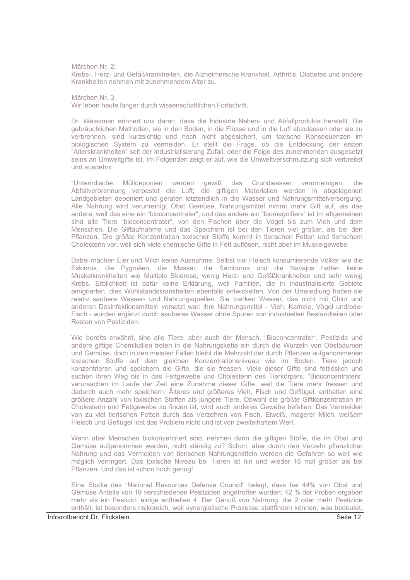Märchen Nr. 2:

Krebs-, Herz- und Gefäßkrankheiten, die Alzheimersche Krankheit, Arthritis, Diabetes und andere Krankheiten nehmen mit zunehmendem Alter zu

Märchen Nr. 3:

Wir leben heute länger durch wissenschaftlichen Fortschritt.

Dr. Weissman erinnert uns daran, dass die Industrie Neben- und Abfallprodukte herstellt. Die gebräuchlichen Methoden, sie in den Boden, in die Flüsse und in die Luft abzulassen oder sie zu verbrennen, sind kurzsichtig und noch nicht abgesichert, um toxische Konsequenzen im biologischen System zu vermeiden. Er stellt die Frage. ob die Entdeckung der ersten "Alterskrankheiten" seit der Industrialisierung Zufall, oder die Folge des zunehmenden ausgesetzt seins an Umweltgifte ist. Im Folgenden zeigt er auf, wie die Umweltverschmutzung sich verbreitet und ausdehnt.

"Unterirdische Mülldeponien werden gewiß das Grundwasser verunreinigen, die Abfallverbrennung verpestet die Luft; die giftigen Materialien werden in abgelegenen Landgebieten deponiert und geraten letztendlich in die Wasser und Nahrungsmittelversorgung. Alle Nahrung wird verunreinigt Obst Gemüse, Nahrungsmittel nimmt mehr Gift auf, als das andere, weil das eine ein "bioconcentrater", und das andere ein "biomagnifiers" ist Im allgemeinen sind alle Tiere "bioconcentrater", von den Fischen über die Vögel bis zum Vieh und dem Menschen. Die Giftaufnahme und das Speichern ist bei den Tieren viel größer, als bei den Pflanzen. Die größte Konzentration toxischer Stoffe kommt in tierischen Fetten und tierischem Cholesterin vor, weil sich viele chemische Gifte in Fett auflösen, nicht aber im Muskelgewebe.

Dabei machen Eier und Milch keine Ausnahme. Selbst viel Fleisch konsumierende Völker wie die Eskimos, die Pygmäen, die Massai, die Samburus und die Navajos hatten keine Muskelkrankheiten wie Multiple Sklerose, wenig Herz- und Gefäßkrankheiten und sehr wenig Krebs. Erblichkeit ist dafür keine Erklärung, weil Familien, die in industrialisierte Gebiete emigrierten, dies Wohlstandskrankheiten ebenfalls entwickelten. Von der Umsiedlung hatten sie relativ saubere Wasser- und Nahrungsguellen. Sie tranken Wasser, das nicht mit Chlor und anderen Desinfektionsmitteln versetzt war: ihre Nahrungsmittel - Vieh, Kamele, Vögel und/oder Fisch - wurden ergänzt durch sauberes Wasser ohne Spuren von industriellen Bestandteilen oder Resten von Pestiziden

Wie bereits erwähnt, sind alle Tiere, aber auch der Mensch, "Bioconcentrater". Pestizide und andere giftige Chemikalien treten in die Nahrungskette ein durch die Wurzeln von Obstbäumen und Gemüse, doch in den meisten Fällen bleibt die Mehrzahl der durch Pflanzen aufgenommenen toxischen Stoffe auf dem gleichen Konzentrationsniveau wie im Boden. Tiere jedoch konzentrieren und speichern die Gifte, die sie fressen. Viele dieser Gifte sind fettlöslich und suchen ihren Weg bis in das Fettgewebe und Cholesterin des Tierkörpers. "Bioconcentraters" verursachen im Laufe der Zeit eine Zunahme dieser Gifte, weil die Tiere mehr fressen und dadurch auch mehr speichern. Älteres und größeres Vieh, Fisch und Geflügel, enthalten eine größere Anzahl von toxischen Stoffen als jüngere Tiere. Obwohl die größte Giftkonzentration im Cholesterin und Fettgewebe zu finden ist, wird auch anderes Gewebe befallen. Das Vermeiden von zu viel tierischen Fetten durch das Verzehren von Fisch, Eiweiß, magerer Milch, weißem Fleisch und Geflügel löst das Problem nicht und ist von zweifelhaftem Wert.

Wenn aber Menschen biokonzentriert sind, nehmen dann die giftigen Stoffe, die im Obst und Gemüse aufgenommen werden, nicht ständig zu? Schon, aber durch den Verzehr pflanzlicher Nahrung und das Vermeiden von tierischen Nahrungsmitteln werden die Gefahren so weit wie möglich verringert. Das toxische Niveau bei Tieren ist hin und wieder 16 mal größer als bei Pflanzen. Und das ist schon hoch genug!

Eine Studie des "National Resources Defense Council" belegt, dass bei 44% von Obst und Gemüse Anteile von 19 verschiedenen Pestiziden angetroffen wurden; 42 % der Proben ergaben mehr als ein Pestizid, einige enthielten 4. Der Genuß von Nahrung, die 2 oder mehr Pestizide enthält, ist besonders risikoreich, weil synergistische Prozesse stattfinden können, was bedeutet,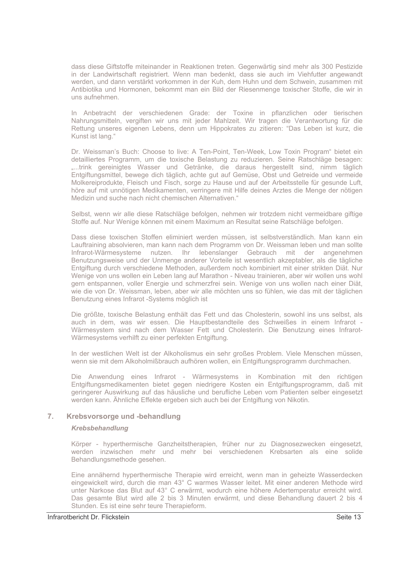dass diese Giftstoffe miteinander in Reaktionen treten. Gegenwärtig sind mehr als 300 Pestizide in der Landwirtschaft registriert. Wenn man bedenkt, dass sie auch im Viehfutter angewandt werden, und dann verstärkt vorkommen in der Kuh, dem Huhn und dem Schwein, zusammen mit Antibiotika und Hormonen, bekommt man ein Bild der Riesenmenge toxischer Stoffe, die wir in uns aufnehmen

In Anbetracht der verschiedenen Grade: der Toxine in pflanzlichen oder tierischen Nahrungsmitteln, vergiften wir uns mit jeder Mahlzeit. Wir tragen die Verantwortung für die Rettung unseres eigenen Lebens, denn um Hippokrates zu zitieren: "Das Leben ist kurz, die Kunst ist lang."

Dr. Weissman's Buch: Choose to live: A Ten-Point, Ten-Week, Low Toxin Program" bietet ein detailliertes Programm, um die toxische Belastung zu reduzieren. Seine Ratschläge besagen: "...trink gereinigtes Wasser und Getränke, die daraus hergestellt sind, nimm täglich Entgiftungsmittel, bewege dich täglich, achte gut auf Gemüse, Obst und Getreide und vermeide Molkereiprodukte, Fleisch und Fisch, sorge zu Hause und auf der Arbeitsstelle für gesunde Luft, höre auf mit unnötigen Medikamenten, verringere mit Hilfe deines Arztes die Menge der nötigen Medizin und suche nach nicht chemischen Alternativen."

Selbst, wenn wir alle diese Ratschläge befolgen, nehmen wir trotzdem nicht vermeidbare giftige Stoffe auf. Nur Wenige können mit einem Maximum an Resultat seine Ratschläge befolgen.

Dass diese toxischen Stoffen eliminiert werden müssen, ist selbstverständlich. Man kann ein Lauftraining absolvieren, man kann nach dem Programm von Dr. Weissman leben und man sollte Infrarot-Wärmesysteme nutzen. Ihr lebenslanger Gebrauch mit der angenehmen Benutzungsweise und der Unmenge anderer Vorteile ist wesentlich akzeptabler, als die tägliche Entgiftung durch verschiedene Methoden, außerdem noch kombiniert mit einer strikten Diät. Nur Wenige von uns wollen ein Leben lang auf Marathon - Niveau trainieren, aber wir wollen uns wohl gern entspannen, voller Energie und schmerzfrei sein. Wenige von uns wollen nach einer Diät, wie die von Dr. Weissman, leben, aber wir alle möchten uns so fühlen, wie das mit der täglichen Benutzung eines Infrarot -Systems möglich ist

Die größte, toxische Belastung enthält das Fett und das Cholesterin, sowohl ins uns selbst, als auch in dem, was wir essen. Die Hauptbestandteile des Schweißes in einem Infrarot -Wärmesystem sind nach dem Wasser Fett und Cholesterin. Die Benutzung eines Infrarot-Wärmesystems verhilft zu einer perfekten Entgiftung.

In der westlichen Welt ist der Alkoholismus ein sehr großes Problem. Viele Menschen müssen, wenn sie mit dem Alkoholmißbrauch aufhören wollen, ein Entgiftungsprogramm durchmachen.

Die Anwendung eines Infrarot - Wärmesystems in Kombination mit den richtigen Entgiftungsmedikamenten bietet gegen niedrigere Kosten ein Entgiftungsprogramm, daß mit geringerer Auswirkung auf das häusliche und berufliche Leben vom Patienten selber eingesetzt werden kann. Ähnliche Effekte ergeben sich auch bei der Entgiftung von Nikotin.

### $7.$ Krebsvorsorge und -behandlung

### **Krebsbehandlung**

Körper - hyperthermische Ganzheitstherapien, früher nur zu Diagnosezwecken eingesetzt, werden inzwischen mehr und mehr bei verschiedenen Krebsarten als eine solide Behandlungsmethode gesehen.

Eine annähernd hyperthermische Therapie wird erreicht, wenn man in geheizte Wasserdecken eingewickelt wird, durch die man 43° C warmes Wasser leitet. Mit einer anderen Methode wird unter Narkose das Blut auf 43° C erwärmt, wodurch eine höhere Adertemperatur erreicht wird. Das gesamte Blut wird alle 2 bis 3 Minuten erwärmt, und diese Behandlung dauert 2 bis 4 Stunden. Es ist eine sehr teure Therapieform.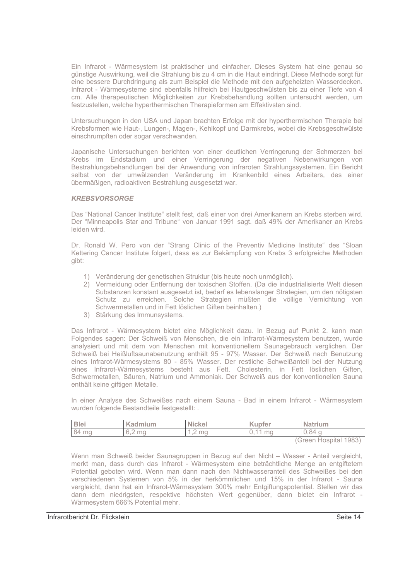Ein Infrarot - Wärmesystem ist praktischer und einfacher. Dieses System hat eine genau so günstige Auswirkung, weil die Strahlung bis zu 4 cm in die Haut eindringt. Diese Methode sorgt für eine bessere Durchdringung als zum Beispiel die Methode mit den aufgeheizten Wasserdecken. Infrarot - Wärmesysteme sind ebenfalls hilfreich bei Hautgeschwülsten bis zu einer Tiefe von 4 cm. Alle therapeutischen Möglichkeiten zur Krebsbehandlung sollten untersucht werden, um festzustellen, welche hyperthermischen Therapieformen am Effektivsten sind.

Untersuchungen in den USA und Japan brachten Erfolge mit der hyperthermischen Therapie bei Krebsformen wie Haut-, Lungen-, Magen-, Kehlkopf und Darmkrebs, wobei die Krebsgeschwülste einschrumpften oder sogar verschwanden.

Japanische Untersuchungen berichten von einer deutlichen Verringerung der Schmerzen bei Krebs im Endstadium und einer Verringerung der negativen Nebenwirkungen von Bestrahlungsbehandlungen bei der Anwendung von infraroten Strahlungssystemen. Ein Bericht selbst von der umwälzenden Veränderung im Krankenbild eines Arbeiters, des einer übermäßigen, radioaktiven Bestrahlung ausgesetzt war.

### **KREBSVORSORGE**

Das "National Cancer Institute" stellt fest, daß einer von drei Amerikanern an Krebs sterben wird. Der "Minneapolis Star and Tribune" von Januar 1991 sagt. daß 49% der Amerikaner an Krebs leiden wird.

Dr. Ronald W. Pero von der "Strang Clinic of the Preventiv Medicine Institute" des "Sloan Kettering Cancer Institute folgert, dass es zur Bekämpfung von Krebs 3 erfolgreiche Methoden aibt:

- 1) Veränderung der genetischen Struktur (bis heute noch unmöglich).
- 2) Vermeidung oder Entfernung der toxischen Stoffen. (Da die industrialisierte Welt diesen Substanzen konstant ausgesetzt ist, bedarf es lebenslanger Strategien, um den nötigsten Schutz zu erreichen. Solche Strategien müßten die völlige Vernichtung von Schwermetallen und in Fett löslichen Giften beinhalten.)
- 3) Stärkung des Immunsystems.

Das Infrarot - Wärmesystem bietet eine Möglichkeit dazu. In Bezug auf Punkt 2. kann man Folgendes sagen: Der Schweiß von Menschen, die ein Infrarot-Wärmesystem benutzen, wurde analysiert und mit dem von Menschen mit konventionellem Saunagebrauch verglichen. Der Schweiß bei Heißluftsaunabenutzung enthält 95 - 97% Wasser. Der Schweiß nach Benutzung eines Infrarot-Wärmesystems 80 - 85% Wasser. Der restliche Schweißanteil bei der Nutzung eines Infrarot-Wärmesystems besteht aus Fett. Cholesterin, in Fett löslichen Giften, Schwermetallen, Säuren, Natrium und Ammoniak. Der Schweiß aus der konventionellen Sauna enthält keine giftigen Metalle.

In einer Analyse des Schweißes nach einem Sauna - Bad in einem Infrarot - Wärmesystem wurden folgende Bestandteile festgestellt: .

| <b>Blei</b> | Kadmium              | <b>Nickel</b>        | <b>Kupfer</b>     | <b>Natrium</b> |
|-------------|----------------------|----------------------|-------------------|----------------|
| 84 mg       | ma<br>$\backsim$ . 4 | ma<br>. $\leftarrow$ | $-1-1$<br>ma<br>◡ | .84<br>. پ     |
|             |                      |                      |                   | (0.001)        |

(Green Hospital 1983)

Wenn man Schweiß beider Saunagruppen in Bezug auf den Nicht - Wasser - Anteil vergleicht, merkt man, dass durch das Infrarot - Wärmesystem eine beträchtliche Menge an entgiftetem Potential geboten wird. Wenn man dann nach den Nichtwasseranteil des Schweißes bei den verschiedenen Systemen von 5% in der herkömmlichen und 15% in der Infrarot - Sauna vergleicht, dann hat ein Infrarot-Wärmesystem 300% mehr Entgiftungspotential. Stellen wir das dann dem niedrigsten, respektive höchsten Wert gegenüber, dann bietet ein Infrarot -Wärmesystem 666% Potential mehr.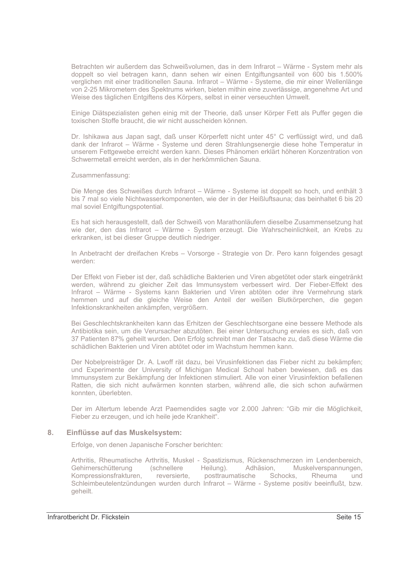Betrachten wir außerdem das Schweißvolumen, das in dem Infrarot - Wärme - System mehr als doppelt so viel betragen kann, dann sehen wir einen Entgiftungsanteil von 600 bis 1.500% verglichen mit einer traditionellen Sauna. Infrarot - Wärme - Systeme, die mir einer Wellenlänge von 2-25 Mikrometern des Spektrums wirken, bieten mithin eine zuverlässige, angenehme Art und Weise des täglichen Entgiftens des Körpers, selbst in einer verseuchten Umwelt.

Einige Diätspezialisten gehen einig mit der Theorie, daß unser Körper Fett als Puffer gegen die toxischen Stoffe braucht, die wir nicht ausscheiden können.

Dr. Ishikawa aus Japan sagt, daß unser Körperfett nicht unter 45° C verflüssigt wird, und daß dank der Infrarot - Wärme - Systeme und deren Strahlungsenergie diese hohe Temperatur in unserem Fettgewebe erreicht werden kann. Dieses Phänomen erklärt höheren Konzentration von Schwermetall erreicht werden, als in der herkömmlichen Sauna.

Zusammenfassung:

Die Menge des Schweißes durch Infrarot – Wärme - Systeme ist doppelt so hoch, und enthält 3 bis 7 mal so viele Nichtwasserkomponenten, wie der in der Heißluftsauna; das beinhaltet 6 bis 20 mal soviel Entgiftungspotential.

Es hat sich herausgestellt, daß der Schweiß von Marathonläufern dieselbe Zusammensetzung hat wie der, den das Infrarot - Wärme - System erzeugt. Die Wahrscheinlichkeit, an Krebs zu erkranken, ist bei dieser Gruppe deutlich niedriger.

In Anbetracht der dreifachen Krebs - Vorsorge - Strategie von Dr. Pero kann folgendes gesagt werden:

Der Effekt von Fieber ist der, daß schädliche Bakterien und Viren abgetötet oder stark eingetränkt werden, während zu gleicher Zeit das Immunsystem verbessert wird. Der Fieber-Effekt des Infrarot – Wärme - Systems kann Bakterien und Viren abtöten oder ihre Vermehrung stark hemmen und auf die gleiche Weise den Anteil der weißen Blutkörperchen, die gegen Infektionskrankheiten ankämpfen, vergrößern.

Bei Geschlechtskrankheiten kann das Erhitzen der Geschlechtsorgane eine bessere Methode als Antibiotika sein, um die Verursacher abzutöten. Bei einer Untersuchung erwies es sich, daß von 37 Patienten 87% geheilt wurden. Den Erfolg schreibt man der Tatsache zu, daß diese Wärme die schädlichen Bakterien und Viren abtötet oder im Wachstum hemmen kann.

Der Nobelpreisträger Dr. A. Lwoff rät dazu, bei Virusinfektionen das Fieber nicht zu bekämpfen; und Experimente der University of Michigan Medical Schoal haben bewiesen, daß es das Immunsystem zur Bekämpfung der Infektionen stimuliert. Alle von einer Virusinfektion befallenen Ratten, die sich nicht aufwärmen konnten starben, während alle, die sich schon aufwärmen konnten, überlebten.

Der im Altertum lebende Arzt Paemendides sagte vor 2.000 Jahren: "Gib mir die Möglichkeit, Fieber zu erzeugen, und ich heile jede Krankheit".

### Einflüsse auf das Muskelsystem: 8.

Erfolge, von denen Japanische Forscher berichten:

Arthritis, Rheumatische Arthritis, Muskel - Spastizismus, Rückenschmerzen im Lendenbereich, Gehirnerschütterung (schnellere Heilung). Adhäsion. Muskelverspannungen. Kompressionsfrakturen. reversierte. posttraumatische Schocks. Rheuma und Schleimbeutelentzündungen wurden durch Infrarot - Wärme - Systeme positiv beeinflußt, bzw. geheilt.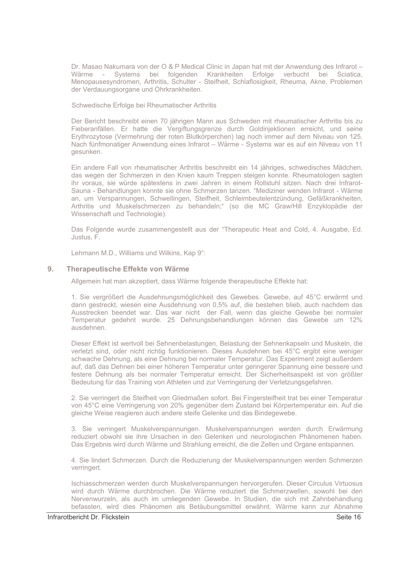Dr. Masao Nakumara von der O & P Medical Clinic in Japan hat mit der Anwendung des Infrarot-Wärme - Systems bei folgenden Krankheiten Erfolge verbucht bei Sciatica, Menopausesyndromen, Arthritis, Schulter - Steifheit, Schlaflosigkeit, Rheuma, Akne, Problemen der Verdauungsorgane und Ohrkrankheiten.

Schwedische Erfolge bei Rheumatischer Arthritis

Der Bericht beschreibt einen 70 jährigen Mann aus Schweden mit rheumatischer Arthritis bis zu Fieberanfällen. Er hatte die Vergiftungsgrenze durch Goldinjektionen erreicht, und seine Erythrozytose (Vermehrung der roten Blutkörperchen) lag noch immer auf dem Niveau von 125. Nach fünfmonatiger Anwendung eines Infrarot - Wärme - Systems war es auf ein Niveau von 11 gesunken.

Ein andere Fall von rheumatischer Arthritis beschreibt ein 14 jähriges, schwedisches Mädchen, das wegen der Schmerzen in den Knien kaum Treppen steigen konnte. Rheumatologen sagten ihr voraus, sie würde spätestens in zwei Jahren in einem Rollstuhl sitzen. Nach drei Infrarot-Sauna - Behandlungen konnte sie ohne Schmerzen tanzen. "Mediziner wenden Infrarot - Wärme an, um Verspannungen, Schwellingen, Steifheit, Schleimbeutelentzündung, Gefäßkrankheiten, Arthritis und Muskelschmerzen zu behandeln;" (so die MC Graw/Hill Enzyklopädie der Wissenschaft und Technologie).

Das Folgende wurde zusammengestellt aus der "Therapeutic Heat and Cold, 4. Ausgabe, Ed. Justus, F.

Lehmann M.D., Williams und Wilkins, Kap 9":

### Therapeutische Effekte von Wärme  $9<sub>1</sub>$

Allgemein hat man akzeptiert, dass Wärme folgende therapeutische Effekte hat:

1. Sie vergrößert die Ausdehnungsmöglichkeit des Gewebes. Gewebe, auf 45°C erwärmt und dann gestreckt, wiesen eine Ausdehnung von 0,5% auf, die bestehen blieb, auch nachdem das Ausstrecken beendet war. Das war nicht der Fall, wenn das gleiche Gewebe bei normaler Temperatur gedehnt wurde. 25 Dehnungsbehandlungen können das Gewebe um 12% ausdehnen.

Dieser Effekt ist wertvoll bei Sehnenbelastungen, Belastung der Sehnenkapseln und Muskeln, die verletzt sind, oder nicht richtig funktionieren. Dieses Ausdehnen bei 45°C ergibt eine weniger schwache Dehnung, als eine Dehnung bei normaler Temperatur. Das Experiment zeigt außerdem auf, daß das Dehnen bei einer höheren Temperatur unter geringerer Spannung eine bessere und festere Dehnung als bei normaler Temperatur erreicht. Der Sicherheitsaspekt ist von größter Bedeutung für das Training von Athleten und zur Verringerung der Verletzungsgefahren.

2. Sie verringert die Steifheit von Gliedmaßen sofort. Bei Fingersteifheit trat bei einer Temperatur von 45°C eine Verringerung von 20% gegenüber dem Zustand bei Körpertemperatur ein. Auf die gleiche Weise reagieren auch andere steife Gelenke und das Bindegewebe.

3. Sie verringert Muskelverspannungen. Muskelverspannungen werden durch Erwärmung reduziert obwohl sie ihre Ursachen in den Gelenken und neurologischen Phänomenen haben. Das Ergebnis wird durch Wärme und Strahlung erreicht, die die Zellen und Organe entspannen.

4. Sie lindert Schmerzen. Durch die Reduzierung der Muskelverspannungen werden Schmerzen verringert.

Ischiasschmerzen werden durch Muskelverspannungen hervorgerufen. Dieser Circulus Virtuosus wird durch Wärme durchbrochen. Die Wärme reduziert die Schmerzwellen, sowohl bei den Nervenwurzeln, als auch im umliegenden Gewebe. In Studien, die sich mit Zahnbehandlung befassten, wird dies Phänomen als Betäubungsmittel erwähnt. Wärme kann zur Abnahme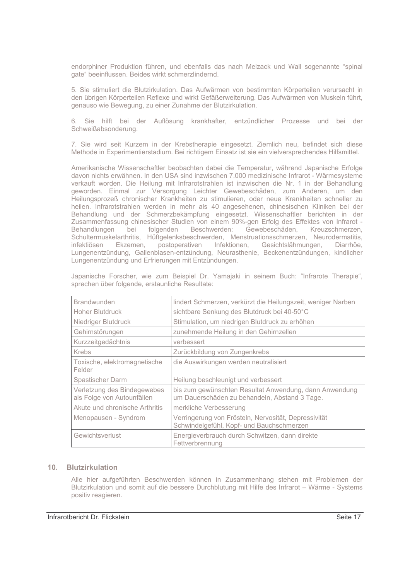endorphiner Produktion führen, und ebenfalls das nach Melzack und Wall sogenannte "spinal gate" beeinflussen. Beides wirkt schmerzlindernd.

5. Sie stimuliert die Blutzirkulation. Das Aufwärmen von bestimmten Körperteilen verursacht in den übrigen Körperteilen Reflexe und wirkt Gefäßerweiterung. Das Aufwärmen von Muskeln führt, genauso wie Bewegung, zu einer Zunahme der Blutzirkulation.

6. Sie hilft bei der Auflösung krankhafter, entzündlicher Prozesse und bei der Schweißabsonderung.

7. Sie wird seit Kurzem in der Krebstherapie eingesetzt. Ziemlich neu, befindet sich diese Methode in Experimentierstadium. Bei richtigem Einsatz ist sie ein vielversprechendes Hilfsmittel.

Amerikanische Wissenschaftler beobachten dabei die Temperatur, während Japanische Erfolge davon nichts erwähnen. In den USA sind inzwischen 7.000 medizinische Infrarot - Wärmesysteme verkauft worden. Die Heilung mit Infrarotstrahlen ist inzwischen die Nr. 1 in der Behandlung geworden. Einmal zur Versorgung Leichter Gewebeschäden, zum Anderen, um den Heilungsprozeß chronischer Krankheiten zu stimulieren, oder neue Krankheiten schneller zu heilen. Infrarotstrahlen werden in mehr als 40 angesehenen, chinesischen Kliniken bei der Behandlung und der Schmerzbekämpfung eingesetzt. Wissenschaftler berichten in der Zusammenfassung chinesischer Studien von einem 90%-gen Erfolg des Effektes von Infrarot -Behandlungen bei folgenden Beschwerden: Gewebeschäden, Kreuzschmerzen, Schultermuskelarthritis, Hüftgelenksbeschwerden, Menstruationsschmerzen, Neurodermatitis, infektiösen Ekzemen, postoperativen Infektionen, Gesichtslähmungen, Diarrhöe, Lungenentzündung, Gallenblasen-entzündung, Neurasthenie, Beckenentzündungen, kindlicher Lungenentzündung und Erfrierungen mit Entzündungen.

| <b>Brandwunden</b>                                        | lindert Schmerzen, verkürzt die Heilungszeit, weniger Narben                                            |
|-----------------------------------------------------------|---------------------------------------------------------------------------------------------------------|
| Hoher Blutdruck                                           | sichtbare Senkung des Blutdruck bei 40-50°C                                                             |
| Niedriger Blutdruck                                       | Stimulation, um niedrigen Blutdruck zu erhöhen                                                          |
| Gehirnstörungen                                           | zunehmende Heilung in den Gehirnzellen                                                                  |
| Kurzzeitgedächtnis                                        | verbessert                                                                                              |
| <b>Krebs</b>                                              | Zurückbildung von Zungenkrebs                                                                           |
| Toxische, elektromagnetische<br>Felder                    | die Auswirkungen werden neutralisiert                                                                   |
| <b>Spastischer Darm</b>                                   | Heilung beschleunigt und verbessert                                                                     |
| Verletzung des Bindegewebes<br>als Folge von Autounfällen | bis zum gewünschten Resultat Anwendung, dann Anwendung<br>um Dauerschäden zu behandeln, Abstand 3 Tage. |
| Akute und chronische Arthritis                            | merkliche Verbesserung                                                                                  |
| Menopausen - Syndrom                                      | Verringerung von Frösteln, Nervosität, Depressivität<br>Schwindelgefühl, Kopf- und Bauchschmerzen       |
| Gewichtsverlust                                           | Energieverbrauch durch Schwitzen, dann direkte<br>Fettverbrennung                                       |

Japanische Forscher, wie zum Beispiel Dr. Yamaiaki in seinem Buch: "Infrarote Therapie", sprechen über folgende, erstaunliche Resultate:

# 10. Blutzirkulation

Alle hier aufgeführten Beschwerden können in Zusammenhang stehen mit Problemen der Blutzirkulation und somit auf die bessere Durchblutung mit Hilfe des Infrarot - Wärme - Systems positiv reagieren.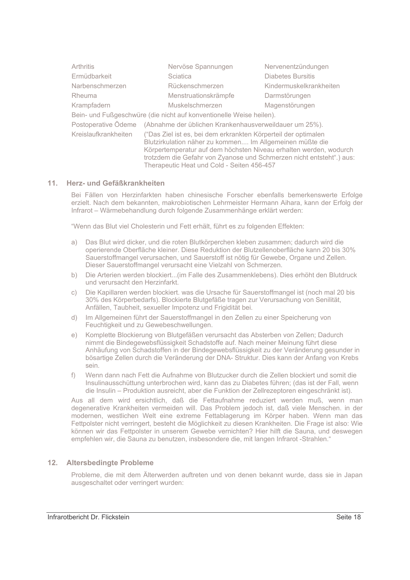| Arthritis                                                                  | Nervöse Spannungen                                                                                                                                                                                                                                                                                                    | Nervenentzündungen       |  |
|----------------------------------------------------------------------------|-----------------------------------------------------------------------------------------------------------------------------------------------------------------------------------------------------------------------------------------------------------------------------------------------------------------------|--------------------------|--|
| Ermüdbarkeit                                                               | Sciatica                                                                                                                                                                                                                                                                                                              | <b>Diabetes Bursitis</b> |  |
| Narbenschmerzen                                                            | Rückenschmerzen                                                                                                                                                                                                                                                                                                       | Kindermuskelkrankheiten  |  |
| Rheuma                                                                     | Menstruationskrämpfe                                                                                                                                                                                                                                                                                                  | Darmstörungen            |  |
| Krampfadern                                                                | Muskelschmerzen                                                                                                                                                                                                                                                                                                       | Magenstörungen           |  |
| Bein- und Fußgeschwüre (die nicht auf konventionelle Weise heilen).        |                                                                                                                                                                                                                                                                                                                       |                          |  |
| Postoperative Ödeme (Abnahme der üblichen Krankenhausverweildauer um 25%). |                                                                                                                                                                                                                                                                                                                       |                          |  |
| Kreislaufkrankheiten                                                       | ("Das Ziel ist es, bei dem erkrankten Körperteil der optimalen<br>Blutzirkulation näher zu kommen Im Allgemeinen müßte die<br>Körpertemperatur auf dem höchsten Niveau erhalten werden, wodurch<br>trotzdem die Gefahr von Zyanose und Schmerzen nicht entsteht".) aus:<br>Therapeutic Heat und Cold - Seiten 456-457 |                          |  |

## 11. Herz- und Gefäßkrankheiten

Bei Fällen von Herzinfarkten haben chinesische Forscher ebenfalls bemerkenswerte Erfolge erzielt. Nach dem bekannten, makrobiotischen Lehrmeister Hermann Aihara, kann der Erfolg der Infrarot – Wärmebehandlung durch folgende Zusammenhänge erklärt werden:

"Wenn das Blut viel Cholesterin und Fett erhält, führt es zu folgenden Effekten:

- a) Das Blut wird dicker, und die roten Blutkörperchen kleben zusammen; dadurch wird die operierende Oberfläche kleiner. Diese Reduktion der Blutzellenoberfläche kann 20 bis 30% Sauerstoffmangel verursachen, und Sauerstoff ist nötig für Gewebe, Organe und Zellen. Dieser Sauerstoffmangel verursacht eine Vielzahl von Schmerzen.
- b) Die Arterien werden blockiert...(im Falle des Zusammenklebens). Dies erhöht den Blutdruck und verursacht den Herzinfarkt.
- Die Kapillaren werden blockiert. was die Ursache für Sauerstoffmangel ist (noch mal 20 bis  $\mathsf{C}$ ) 30% des Körperbedarfs). Blockierte Blutgefäße tragen zur Verursachung von Senilität. Anfällen, Taubheit, sexueller Impotenz und Frigidität bei.
- Im Allgemeinen führt der Sauerstoffmangel in den Zellen zu einer Speicherung von  $d)$ Feuchtigkeit und zu Gewebeschwellungen.
- Komplette Blockierung von Blutgefäßen verursacht das Absterben von Zellen; Dadurch  $e)$ nimmt die Bindegewebsflüssigkeit Schadstoffe auf. Nach meiner Meinung führt diese Anhäufung von Schadstoffen in der Bindegewebsflüssigkeit zu der Veränderung gesunder in bösartige Zellen durch die Veränderung der DNA- Struktur. Dies kann der Anfang von Krebs sein.
- f) Wenn dann nach Fett die Aufnahme von Blutzucker durch die Zellen blockiert und somit die Insulinausschüttung unterbrochen wird, kann das zu Diabetes führen: (das ist der Fall, wenn die Insulin – Produktion ausreicht, aber die Funktion der Zellrezeptoren eingeschränkt ist).

Aus all dem wird ersichtlich, daß die Fettaufnahme reduziert werden muß, wenn man degenerative Krankheiten vermeiden will. Das Problem jedoch ist, daß viele Menschen, in der modernen, westlichen Welt eine extreme Fettablagerung im Körper haben. Wenn man das Fettpolster nicht verringert, besteht die Möglichkeit zu diesen Krankheiten. Die Frage ist also: Wie können wir das Fettpolster in unserem Gewebe vernichten? Hier hilft die Sauna, und deswegen empfehlen wir, die Sauna zu benutzen, insbesondere die, mit langen Infrarot -Strahlen."

# 12. Altersbedingte Probleme

Probleme, die mit dem Älterwerden auftreten und von denen bekannt wurde, dass sie in Japan ausgeschaltet oder verringert wurden: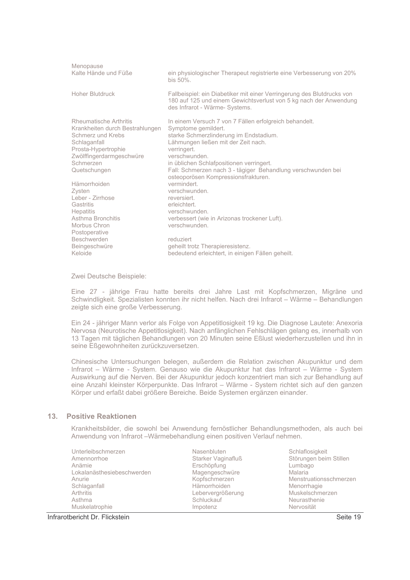| Menopause                       | ein physiologischer Therapeut registrierte eine Verbesserung von 20%                                                                                                          |
|---------------------------------|-------------------------------------------------------------------------------------------------------------------------------------------------------------------------------|
| Kalte Hände und Füße            | $bis 50\%$                                                                                                                                                                    |
| Hoher Blutdruck                 | Fallbeispiel: ein Diabetiker mit einer Verringerung des Blutdrucks von<br>180 auf 125 und einem Gewichtsverlust von 5 kg nach der Anwendung<br>des Infrarot - Wärme- Systems. |
| Rheumatische Arthritis          | In einem Versuch 7 von 7 Fällen erfolgreich behandelt.                                                                                                                        |
| Krankheiten durch Bestrahlungen | Symptome gemildert.                                                                                                                                                           |
| Schmerz und Krebs               | starke Schmerzlinderung im Endstadium.                                                                                                                                        |
| Schlaganfall                    | Lähmungen ließen mit der Zeit nach.                                                                                                                                           |
| Prosta-Hypertrophie             | verringert.                                                                                                                                                                   |
| Zwölffingerdarmgeschwüre        | verschwunden.                                                                                                                                                                 |
| Schmerzen                       | in üblichen Schlafpositionen verringert.                                                                                                                                      |
| Quetschungen                    | Fall: Schmerzen nach 3 - tägiger Behandlung verschwunden bei                                                                                                                  |
| Hämorrhoiden                    | osteoporösen Kompressionsfrakturen.                                                                                                                                           |
| Zysten                          | vermindert                                                                                                                                                                    |
| Leber - Zirrhose                | verschwunden.                                                                                                                                                                 |
| Gastritis                       | reversiert.                                                                                                                                                                   |
| <b>Hepatitis</b>                | erleichtert.                                                                                                                                                                  |
| Asthma Bronchitis               | verschwunden.                                                                                                                                                                 |
| Morbus Chron                    | verbessert (wie in Arizonas trockener Luft).                                                                                                                                  |
| Postoperative                   | verschwunden.                                                                                                                                                                 |
| Beschwerden                     | reduziert                                                                                                                                                                     |
| Beingeschwüre                   | geheilt trotz Therapieresistenz.                                                                                                                                              |
| Keloide                         | bedeutend erleichtert, in einigen Fällen geheilt.                                                                                                                             |

Zwei Deutsche Beispiele:

Eine 27 - jährige Frau hatte bereits drei Jahre Last mit Kopfschmerzen, Migräne und Schwindligkeit. Spezialisten konnten ihr nicht helfen. Nach drei Infrarot - Wärme - Behandlungen zeigte sich eine große Verbesserung.

Ein 24 - jähriger Mann verlor als Folge von Appetitlosigkeit 19 kg. Die Diagnose Lautete: Anexoria Nervosa (Neurotische Appetitlosigkeit). Nach anfänglichen Fehlschlägen gelang es, innerhalb von 13 Tagen mit täglichen Behandlungen von 20 Minuten seine Eßlust wiederherzustellen und ihn in seine Eßgewohnheiten zurückzuversetzen.

Chinesische Untersuchungen belegen, außerdem die Relation zwischen Akupunktur und dem Infrarot - Wärme - System. Genauso wie die Akupunktur hat das Infrarot - Wärme - System Auswirkung auf die Nerven. Bei der Akupunktur jedoch konzentriert man sich zur Behandlung auf eine Anzahl kleinster Körperpunkte. Das Infrarot - Wärme - System richtet sich auf den ganzen Körper und erfaßt dabei größere Bereiche. Beide Systemen ergänzen einander.

# 13 Positive Reaktionen

Krankheitsbilder, die sowohl bei Anwendung fernöstlicher Behandlungsmethoden, als auch bei Anwendung von Infrarot -Wärmebehandlung einen positiven Verlauf nehmen.

| Unterleibschmerzen         | Nasenbluten        | Schlaflosigkeit        |
|----------------------------|--------------------|------------------------|
| Amennorrhoe                | Starker Vaginafluß | Störungen beim Stillen |
| Anämie                     | Erschöpfung        | Lumbago                |
| Lokalanästhesiebeschwerden | Magengeschwüre     | Malaria                |
| Anurie                     | Kopfschmerzen      | Menstruationsschmerzen |
| Schlaganfall               | Hämorrhoiden       | Menorrhagie            |
| Arthritis                  | Lebervergrößerung  | Muskelschmerzen        |
| Asthma                     | Schluckauf         | Neurasthenie           |
| Muskelatrophie             | Impotenz           | Nervosität             |

# Infrarotbericht Dr. Flickstein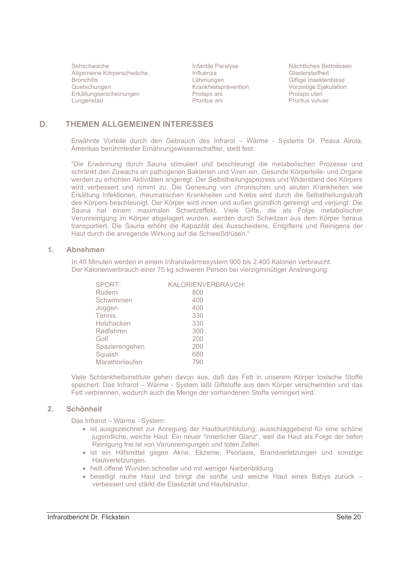Sehschwache Allgemeine Körperschwäche **Bronchitis** Quetschungen Erkältungserscheinungen Lungenstau

Infantile Paralyse Influenza Lähmungen Krankheitsprävention Prolaps ani Pruritus ani

Nächtliches Bettnässen Gliedersteifheit Giftige Insektenbisse **Shage mechanised**<br>Vorzeitige Ejakulation Prolaps uteri Pruritus vulvae

### D. THEMEN ALLGEMEINEN INTERESSES

Erwähnte Vorteile durch den Gebrauch des Infrarot - Wärme - Systems Dr. Peava Airola. Amerikas berühmtester Ernährungswissenschaftler, stellt fest:

"Die Erwärmung durch Sauna stimuliert und beschleunigt die metabolischen Prozesse und schränkt den Zuwachs an pathogenen Bakterien und Viren ein. Gesunde Körperteile- und Organe werden zu erhöhten Aktivitäten angeregt. Der Selbstheilungsprozess und Widerstand des Körpers wird verbessert und nimmt zu. Die Genesung von chronischen und akuten Krankheiten wie Erkältung Infektionen, rheumatischen Krankheiten und Krebs wird durch die Selbstheilungskraft des Körpers beschleunigt. Der Körper wird innen und außen gründlich gereinigt und verjüngt. Die Sauna hat einem maximalen Schwitzeffekt. Viele Gifte, die als Folge metabolischer Verunreinigung im Körper abgelagert wurden, werden durch Schwitzen aus dem Körper heraus transportiert. Die Sauna erhöht die Kapazität des Ausscheidens, Entgiftens und Reinigens der Haut durch die anregende Wirkung auf die Schweißdrüsen."

### $\blacksquare$ **Ahnehmen**

In 40 Minuten werden in einem Infrarotwärmesystem 900 bis 2.400 Kalorien verbraucht. Der Kalorienverbrauch einer 75 kg schweren Person bei vierzigminütiger Anstrengung:

| SPORT:         | KALORIENVERBRAVCH: |
|----------------|--------------------|
| Rudern         | 800                |
| Schwimmen      | 400                |
| Joggen         | 400                |
| Tennis         | 330                |
| Holzhacken     | 330                |
| Radfahren      | 300                |
| Golf           | 200                |
| Spazierengehen | 200                |
| Squash         | 680                |
| Marathonlaufen | 790                |

Viele Schlankheitsinstitute gehen davon aus, daß das Fett in unserem Körper toxische Stoffe speichert. Das Infrarot - Wärme - System läßt Giftstoffe aus dem Körper verschwinden und das Fett verbrennen, wodurch auch die Menge der vorhandenen Stoffe verringert wird.

### **Schönheit**  $2.$

Das Infrarot - Wärme - System:

- ist ausgezeichnet zur Anregung der Hautdurchblutung; ausschlaggebend für eine schöne jugendliche, weiche Haut. Ein neuer "innerlicher Glanz", weil die Haut als Folge der tiefen Reinigung frei ist von Verunreinigungen und toten Zellen.
- · ist ein Hilfsmittel gegen Akne, Ekzeme, Psoriasis, Brandverletzungen und sonstige Hautverletzungen.
- heilt offene Wunden schneller und mit weniger Narbenbildung.
- · beseitigt rauhe Haut und bringt die sanfte und weiche Haut eines Babys zurück verbessert und stärkt die Elastizität und Hautstruktur.